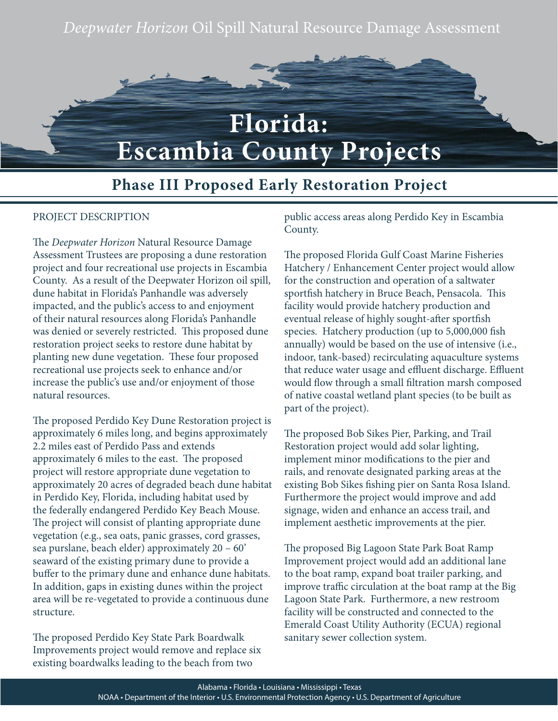# *Deepwater Horizon* Oil Spill Natural Resource Damage Assessment



# **Florida: Escambia County Projects**

## **Phase III Proposed Early Restoration Project**

#### PROJECT DESCRIPTION

The *Deepwater Horizon* Natural Resource Damage Assessment Trustees are proposing a dune restoration project and four recreational use projects in Escambia County. As a result of the Deepwater Horizon oil spill, dune habitat in Florida's Panhandle was adversely impacted, and the public's access to and enjoyment of their natural resources along Florida's Panhandle was denied or severely restricted. This proposed dune restoration project seeks to restore dune habitat by planting new dune vegetation. These four proposed recreational use projects seek to enhance and/or increase the public's use and/or enjoyment of those natural resources.

The proposed Perdido Key Dune Restoration project is approximately 6 miles long, and begins approximately 2.2 miles east of Perdido Pass and extends approximately 6 miles to the east. The proposed project will restore appropriate dune vegetation to approximately 20 acres of degraded beach dune habitat in Perdido Key, Florida, including habitat used by the federally endangered Perdido Key Beach Mouse. The project will consist of planting appropriate dune vegetation (e.g., sea oats, panic grasses, cord grasses, sea purslane, beach elder) approximately 20 – 60' seaward of the existing primary dune to provide a buffer to the primary dune and enhance dune habitats. In addition, gaps in existing dunes within the project area will be re-vegetated to provide a continuous dune structure.

The proposed Perdido Key State Park Boardwalk Improvements project would remove and replace six existing boardwalks leading to the beach from two

public access areas along Perdido Key in Escambia County.

The proposed Florida Gulf Coast Marine Fisheries Hatchery / Enhancement Center project would allow for the construction and operation of a saltwater sportfish hatchery in Bruce Beach, Pensacola. This facility would provide hatchery production and eventual release of highly sought-after sportfish species. Hatchery production (up to 5,000,000 fish annually) would be based on the use of intensive (i.e., indoor, tank-based) recirculating aquaculture systems that reduce water usage and effluent discharge. Effluent would flow through a small filtration marsh composed of native coastal wetland plant species (to be built as part of the project).

The proposed Bob Sikes Pier, Parking, and Trail Restoration project would add solar lighting, implement minor modifications to the pier and rails, and renovate designated parking areas at the existing Bob Sikes fishing pier on Santa Rosa Island. Furthermore the project would improve and add signage, widen and enhance an access trail, and implement aesthetic improvements at the pier.

The proposed Big Lagoon State Park Boat Ramp Improvement project would add an additional lane to the boat ramp, expand boat trailer parking, and improve traffic circulation at the boat ramp at the Big Lagoon State Park. Furthermore, a new restroom facility will be constructed and connected to the Emerald Coast Utility Authority (ECUA) regional sanitary sewer collection system.